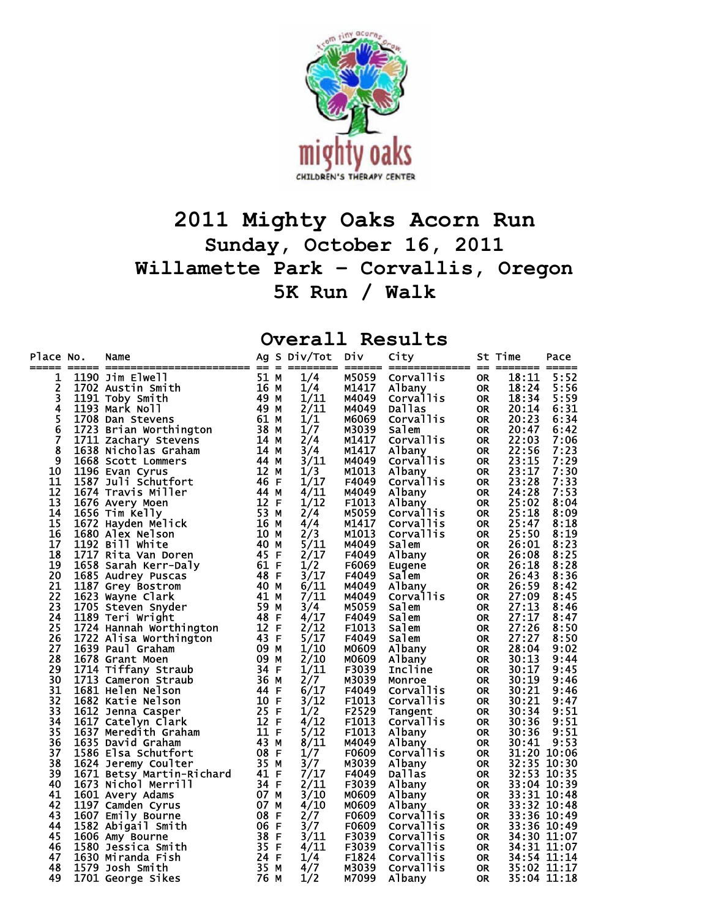

## **2011 Mighty Oaks Acorn Run Sunday, October 16, 2011 Willamette Park – Corvallis, Oregon 5K Run / Walk**

## **Overall Results**

| Place No.       | Name<br>No. Name 1190 Jim Elwell<br>1190 Jim Elwell<br>1702 Austin Smith<br>162 Austin Smith<br>1702 Austin Smith<br>1703 Mark Noll<br>1793 Mark Noll<br>1793 Mark Noll<br>1723 Brian Worthington<br>1723 Brian Worthington<br>1721 Zachary Stevens<br>1868 |      |   | Ag S Div/Tot | Div            | City                |           | St Time        | Pace         |
|-----------------|-------------------------------------------------------------------------------------------------------------------------------------------------------------------------------------------------------------------------------------------------------------|------|---|--------------|----------------|---------------------|-----------|----------------|--------------|
| 1               |                                                                                                                                                                                                                                                             |      |   | 1/4          | M5059          | Corvallis           | <b>OR</b> | 18:11          | 5:52         |
| 2               |                                                                                                                                                                                                                                                             |      |   | 1/4          | M1417          | Albany              | OR.       | 18:24          | 5:56         |
| 3               |                                                                                                                                                                                                                                                             |      |   | 1/11         | M4049          | Corvallis           | <b>OR</b> | 18:34          | 5:59         |
| 4               |                                                                                                                                                                                                                                                             |      |   | 2/11         | M4049          | Dallas              | <b>OR</b> | 20:14          | 6:31         |
| 5<br>6          |                                                                                                                                                                                                                                                             |      |   | 1/1          | M6069          | Corvallis           | <b>OR</b> | 20:23          | 6:34         |
|                 |                                                                                                                                                                                                                                                             |      |   | 1/7          | M3039          | Salem               | <b>OR</b> | 20:47          | 6:42         |
| 7               |                                                                                                                                                                                                                                                             |      |   | 2/4          | M1417          | Corvallis           | <b>OR</b> | 22:03          | 7:06         |
| 8               |                                                                                                                                                                                                                                                             |      |   | 3/4          | M1417          | Albany              | <b>OR</b> | 22:56          | 7:23         |
| 9               |                                                                                                                                                                                                                                                             |      |   | 3/11         | M4049          | Corvallis           | OR.       | 23:15          | 7:29         |
| 10              |                                                                                                                                                                                                                                                             |      |   | 1/3          | M1013          | Albany<br>Corvallis | <b>OR</b> | 23:17          | 7:30         |
| 11              |                                                                                                                                                                                                                                                             |      |   | 1/17         | F4049          |                     | <b>OR</b> | 23:28          | 7:33         |
| 12              |                                                                                                                                                                                                                                                             |      |   | 4/11         | M4049          | Albany              | <b>OR</b> | 24:28          | 7:53         |
| $\overline{13}$ |                                                                                                                                                                                                                                                             |      |   | 1/12         | F1013          | Albany              | <b>OR</b> | 25:02          | 8:04         |
| 14              |                                                                                                                                                                                                                                                             |      |   | 2/4          | M5059          | Corvallis           | <b>OR</b> | 25:18          | 8:09         |
| 15              |                                                                                                                                                                                                                                                             |      |   | 4/4          | M1417          | <b>Corvallis</b>    | <b>OR</b> | 25:47          | 8:18         |
| 16              |                                                                                                                                                                                                                                                             |      |   | 2/3          | M1013          | Corvallis           | <b>OR</b> | 25:50          | 8:19         |
| 17              |                                                                                                                                                                                                                                                             |      |   | 5/11         | M4049          | Salem               | <b>OR</b> | 26:01          | 8:23         |
| 18              |                                                                                                                                                                                                                                                             |      |   | 2/17         | F4049          | Albany              | <b>OR</b> | 26:08          | 8:25         |
| 19              |                                                                                                                                                                                                                                                             |      |   | 1/2          | F6069          | Eugene              | <b>OR</b> | 26:18          | 8:28         |
| 20              |                                                                                                                                                                                                                                                             |      |   | $3/\bar{1}7$ | F4049          | Salem               | <b>OR</b> | 26:43          | 8:36         |
| 21              |                                                                                                                                                                                                                                                             |      |   | 6/11         | M4049          | Albany              | OR.       | 26:59          | 8:42         |
| 22              |                                                                                                                                                                                                                                                             |      |   | 7/11         | M4049          | Corvallis           | OR.       | 27:09          | 8:45         |
| 23              |                                                                                                                                                                                                                                                             |      |   | 3/4          | M5059          | Salem               | <b>OR</b> | 27:13          | 8:46         |
| 24              |                                                                                                                                                                                                                                                             |      |   | 4/17         | F4049          | Salem               | <b>OR</b> | 27:17          | 8:47         |
| 25              |                                                                                                                                                                                                                                                             |      |   | 2/12         | F1013          | Salem               | <b>OR</b> | 27:26          | 8:50         |
| 26              |                                                                                                                                                                                                                                                             |      |   | 5/17         | F4049          | Salem               | <b>OR</b> | 27:27          | 8:50         |
| 27              |                                                                                                                                                                                                                                                             |      |   | 1/10         | M0609          | Albany              | <b>OR</b> | 28:04          | 9:02         |
| 28              |                                                                                                                                                                                                                                                             |      |   | 2/10         | M0609          | Albany              | <b>OR</b> | 30:13          | 9:44         |
| 29              |                                                                                                                                                                                                                                                             |      |   | 1/11         | F3039          | Incline             | <b>OR</b> | 30:17          | 9:45         |
| 30              |                                                                                                                                                                                                                                                             |      |   | 2/7          | M3039          | Monroe              | <b>OR</b> | 30:19          | 9:46         |
| 31<br>32        |                                                                                                                                                                                                                                                             |      |   | 6/17         | F4049          | Corvallis           | <b>OR</b> | 30:21          | 9:46         |
| 33              |                                                                                                                                                                                                                                                             |      |   | 3/12         | F1013          | Corvallis           | <b>OR</b> | 30:21          | 9:47         |
| 34              |                                                                                                                                                                                                                                                             |      |   | 1/2<br>4/12  | F2529<br>F1013 | Tangent             | 0R        | 30:34          | 9:51<br>9:51 |
| 35              |                                                                                                                                                                                                                                                             |      |   | 5/12         | F1013          | Corvallis           | <b>OR</b> | 30:36<br>30:36 | 9:51         |
| 36              |                                                                                                                                                                                                                                                             |      |   | 8/11         | M4049          | Albany              | OR<br>OR  | 30:41          | 9:53         |
| 37              |                                                                                                                                                                                                                                                             |      |   | 1/7          | F0609          | Albany<br>Corvallis | <b>OR</b> | 31:20 10:06    |              |
| 38              |                                                                                                                                                                                                                                                             |      |   | 3/7          | M3039          | Albany              | OR        | 32:35 10:30    |              |
| 39              |                                                                                                                                                                                                                                                             |      |   | 7/17         | F4049          | <b>Dallas</b>       | OR        | 32:53 10:35    |              |
| 40              |                                                                                                                                                                                                                                                             |      |   | 2/11         | F3039          | Albany              | <b>OR</b> | 33:04 10:39    |              |
| 41              |                                                                                                                                                                                                                                                             |      |   | 3/10         | M0609          | Albany              | OR        | 33:31 10:48    |              |
| 42              |                                                                                                                                                                                                                                                             |      |   | 4/10         | M0609          | Albany              | <b>OR</b> | 33:32 10:48    |              |
| 43              |                                                                                                                                                                                                                                                             |      |   | 2/7          | F0609          | Corvallis           | <b>OR</b> | 33:36 10:49    |              |
| 44              |                                                                                                                                                                                                                                                             |      |   | 3/7          | F0609          | Corvallis           | <b>OR</b> | 33:36 10:49    |              |
| 45              | 1586 EIsa Schutfort<br>1624 Jeremy Coulter<br>1671 Betsy Martin-Richard<br>1673 Nichol Merrill<br>1673 Nichol Merrill<br>1601 Avery Adams<br>1797 Camden Cyrus<br>1607 Emily Bourne<br>1582 Abigail Smith<br>1606 Amy Bourne<br>1580 Jessica Smith          |      |   | 3/11         | F3039          | Corvallis           | OR        | 34:30 11:07    |              |
| 46              |                                                                                                                                                                                                                                                             |      |   | 4/11         | F3039          | Corvallis           | OR .      | 34:31 11:07    |              |
| 47              | 1630 Miranda Fish                                                                                                                                                                                                                                           | 24 F |   | 1/4          | F1824          | Corvallis           | <b>OR</b> | 34:54 11:14    |              |
| 48              | 1579 Josh Smith                                                                                                                                                                                                                                             | 35 M |   | 4/7          | M3039          | Corvallis           | <b>OR</b> | 35:02 11:17    |              |
| 49              | 1701 George Sikes                                                                                                                                                                                                                                           | 76   | М | 1/2          | M7099          | A <sub>1</sub> bany | <b>OR</b> | 35:04 11:18    |              |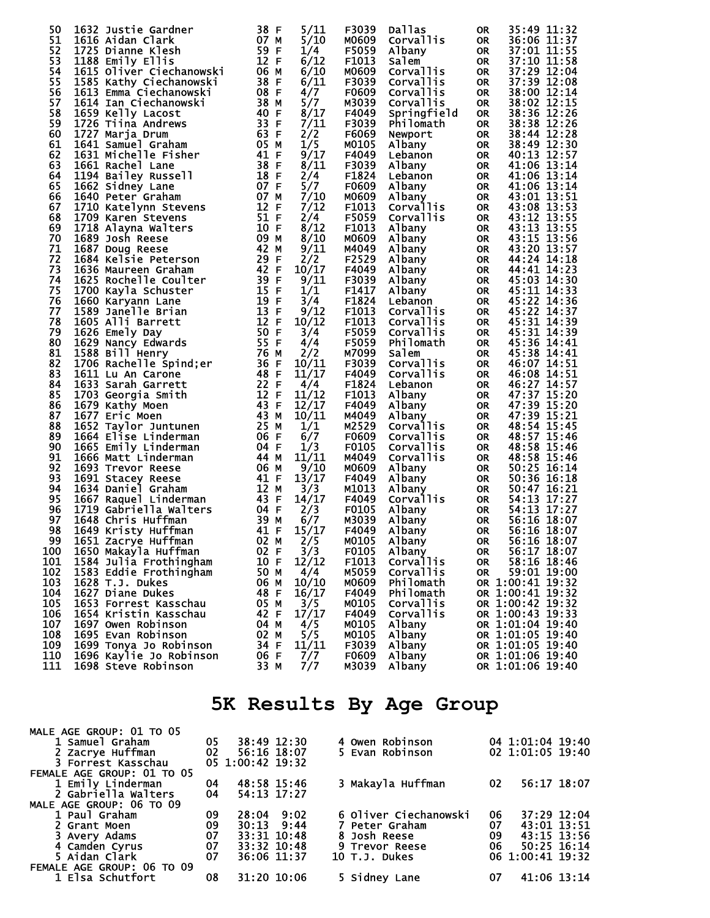| 50  | 1632 Justie Gardner                                                                                                                                                                                                                                | 38 F<br>5/11  | F3039 | Dallas        | <b>OR</b> | 35:49 11:32      |
|-----|----------------------------------------------------------------------------------------------------------------------------------------------------------------------------------------------------------------------------------------------------|---------------|-------|---------------|-----------|------------------|
| 51  |                                                                                                                                                                                                                                                    | 5/10          | M0609 | Corvallis     | <b>OR</b> | 36:06 11:37      |
|     | 1616 Aidan Clark<br>1616 Aidan Clark<br>1725 Dianne Klesh<br>188 Emily Ellis<br>1615 Oliver Ciechanowski<br>1585 Kathy Ciechanowski<br>1585 Kathy Ciechanowski<br>28 F                                                                             |               |       |               |           |                  |
| 52  |                                                                                                                                                                                                                                                    | 1/4           | F5059 | Albany        | OR        | 37:01 11:55      |
| 53  |                                                                                                                                                                                                                                                    | 6/12          | F1013 | Salem         | <b>OR</b> | 37:10 11:58      |
| 54  |                                                                                                                                                                                                                                                    | 6/10          | M0609 | Corvallis     | <b>OR</b> | 37:29 12:04      |
| 55  |                                                                                                                                                                                                                                                    | 6/11          | F3039 | Corvallis     | <b>OR</b> | 37:39 12:08      |
| 56  | 1613 Emma Ciechanowski                                                                                                                                                                                                                             | 08 F<br>4/7   | F0609 | Corvallis     | <b>OR</b> | 38:00 12:14      |
| 57  |                                                                                                                                                                                                                                                    | 5/7           | M3039 | Corvallis     |           | 38:02 12:15      |
|     |                                                                                                                                                                                                                                                    |               |       |               | <b>OR</b> |                  |
| 58  | 1614 Ian Ciechianowski<br>1685 Kathy Ciechanowski<br>1613 Emma Ciechanowski<br>1613 Emma Ciechanowski<br>1613 Emma Ciechanowski<br>1659 Kelly Lacost<br>1726 Tiina Andrews<br>1726 Tiina Andrews<br>1726 Tiina Andrews<br>1641 Samuel Graham<br>16 | 8/17          | F4049 | Springfield   | <b>OR</b> | 38:36 12:26      |
| 59  |                                                                                                                                                                                                                                                    | 7/11          | F3039 | Philomath     | OR        | 38:38 12:26      |
| 60  |                                                                                                                                                                                                                                                    | 2/2           | F6069 | Newport       | OR        | 38:44 12:28      |
| 61  |                                                                                                                                                                                                                                                    | 1/5           | M0105 | Albany        | OR        | 38:49 12:30      |
| 62  |                                                                                                                                                                                                                                                    | 9/17          | F4049 | Lebanon       | OR        | 40:13 12:57      |
| 63  |                                                                                                                                                                                                                                                    | 8/11          | F3039 |               |           | 41:06 13:14      |
|     |                                                                                                                                                                                                                                                    |               |       | Albany        | OR        |                  |
| 64  |                                                                                                                                                                                                                                                    | 2/4           | F1824 | Lebanon       | OR        | 41:06 13:14      |
| 65  |                                                                                                                                                                                                                                                    | 5/7           | F0609 | Albany        | OR        | 41:06 13:14      |
| 66  |                                                                                                                                                                                                                                                    | 7/10          | M0609 | Albany        | <b>OR</b> | 43:01 13:51      |
| 67  |                                                                                                                                                                                                                                                    | 7/12          | F1013 | Corvallis     | OR        | 43:08 13:53      |
| 68  |                                                                                                                                                                                                                                                    | 2/4           | F5059 | Corvallis     | OR        | 43:12 13:55      |
| 69  |                                                                                                                                                                                                                                                    |               | F1013 |               |           | 43:13 13:55      |
|     |                                                                                                                                                                                                                                                    | 8/12          |       | Albany        | OR        |                  |
| 70  |                                                                                                                                                                                                                                                    | 8/10          | M0609 | Albany        | OR        | 43:15 13:56      |
| 71  |                                                                                                                                                                                                                                                    | 9/11          | M4049 | Albany        | OR        | 43:20 13:57      |
| 72  |                                                                                                                                                                                                                                                    | 2/2           | F2529 | Albany        | OR        | 44:24 14:18      |
| 73  |                                                                                                                                                                                                                                                    | 10/17         | F4049 | Albany        | OR        | 44:41 14:23      |
| 74  |                                                                                                                                                                                                                                                    | 9/11          | F3039 | Albany        | <b>OR</b> | 45:03 14:30      |
| 75  |                                                                                                                                                                                                                                                    | 1/1           | F1417 |               |           | 45:11 14:33      |
|     |                                                                                                                                                                                                                                                    |               |       | Albany        | OR        |                  |
| 76  |                                                                                                                                                                                                                                                    | 3/4           | F1824 | Lebanon       | <b>OR</b> | 45:22 14:36      |
| 77  |                                                                                                                                                                                                                                                    | 9/12          | F1013 | Corvallis     | <b>OR</b> | 45:22 14:37      |
| 78  |                                                                                                                                                                                                                                                    | 10/12         | F1013 | Corvallis     | <b>OR</b> | 45:31 14:39      |
| 79  |                                                                                                                                                                                                                                                    | 3/4           | F5059 | Corvallis     | <b>OR</b> | 45:31 14:39      |
| 80  |                                                                                                                                                                                                                                                    | 4/4           | F5059 | Philomath     | OR        | 45:36 14:41      |
|     |                                                                                                                                                                                                                                                    |               |       |               |           |                  |
| 81  |                                                                                                                                                                                                                                                    | 2/2           | M7099 | Salem         | <b>OR</b> | 45:38 14:41      |
| 82  |                                                                                                                                                                                                                                                    | 10/11         | F3039 | Corvallis     | OR        | 46:07 14:51      |
| 83  |                                                                                                                                                                                                                                                    | 11/17         | F4049 | Corvallis     | OR        | 46:08 14:51      |
| 84  |                                                                                                                                                                                                                                                    | 4/4           | F1824 | Lebanon       | <b>OR</b> | 46:27 14:57      |
| 85  |                                                                                                                                                                                                                                                    | 11/12         | F1013 | Albany        | OR        | 47:37 15:20      |
| 86  |                                                                                                                                                                                                                                                    | 12/17         | F4049 | Albany        | <b>OR</b> | 47:39 15:20      |
|     |                                                                                                                                                                                                                                                    |               |       |               |           |                  |
| 87  |                                                                                                                                                                                                                                                    | 10/11         | M4049 | Albany        | OR        | 47:39 15:21      |
| 88  |                                                                                                                                                                                                                                                    | 1/1           | M2529 | Corvallis     | <b>OR</b> | 48:54 15:45      |
| 89  |                                                                                                                                                                                                                                                    | 6/7           | F0609 | Corvallis     | <b>OR</b> | 48:57 15:46      |
| 90  |                                                                                                                                                                                                                                                    | 1/3           | F0105 | Corvallis     | OR        | 48:58 15:46      |
| 91  |                                                                                                                                                                                                                                                    | 11/11         | M4049 | Corvallis     | OR        | 48:58 15:46      |
| 92  | 1693 Trevor Reese 66<br>1691 Stacey Reese 661 MF<br>1634 Daniel Graham 12 M<br>1667 Raquel Linderman 43 F<br>1719 Gabriella Walters 64 F<br>1648 Chris Huffman 39 M<br>1649 Kristy Huffman 41 F<br>1651 Zacrye Huffman 62 M<br>1651 Zacrye Huf     | 9/10          | M0609 | Albany        | <b>OR</b> | 50:25 16:14      |
| 93  |                                                                                                                                                                                                                                                    |               |       |               |           |                  |
|     |                                                                                                                                                                                                                                                    | 13/17         | F4049 | Albany        | OR        | 50:36 16:18      |
| 94  |                                                                                                                                                                                                                                                    | 3/3           | M1013 | Albany        | OR        | 50:47 16:21      |
| 95  |                                                                                                                                                                                                                                                    | 14/17         | F4049 | Corvallis     | OR        | 54:13 17:27      |
| 96  |                                                                                                                                                                                                                                                    | 2/3           | F0105 | Albany        | OR        | 54:13 17:27      |
| 97  |                                                                                                                                                                                                                                                    | 6/7           | M3039 | Albany        | <b>OR</b> | 56:16 18:07      |
| 98  |                                                                                                                                                                                                                                                    | 15/17         | F4049 | Albany        | <b>OR</b> | 56:16 18:07      |
|     |                                                                                                                                                                                                                                                    |               | M0105 |               |           | 56:16 18:07      |
| 99  |                                                                                                                                                                                                                                                    |               |       | Albany        | <b>OR</b> |                  |
| 100 |                                                                                                                                                                                                                                                    |               | F0105 | Albany        | <b>OR</b> | 56:17 18:07      |
| 101 | 1584 Julia Frothingham                                                                                                                                                                                                                             | 10 F<br>12/12 | F1013 | Corvallis     | OR        | 58:16 18:46      |
| 102 | 1583 Eddie Frothingham                                                                                                                                                                                                                             | 50 M<br>4/4   | M5059 | Corvallis     | <b>OR</b> | 59:01 19:00      |
| 103 | 1628 T.J. Dukes                                                                                                                                                                                                                                    | 06 M<br>10/10 | M0609 | Philomath     |           | OR 1:00:41 19:32 |
| 104 | 1627 Diane Dukes                                                                                                                                                                                                                                   | 48 F<br>16/17 | F4049 | Philomath     |           | OR 1:00:41 19:32 |
|     |                                                                                                                                                                                                                                                    |               |       |               |           |                  |
| 105 | 1653 Forrest Kasschau                                                                                                                                                                                                                              | 3/5<br>05 M   | M0105 | Corvallis     |           | OR 1:00:42 19:32 |
| 106 | 1654 Kristin Kasschau                                                                                                                                                                                                                              | 17/17<br>42 F | F4049 | Corvallis     |           | OR 1:00:43 19:33 |
| 107 | 1697 Owen Robinson                                                                                                                                                                                                                                 | 4/5<br>04 M   | M0105 | Albany        |           | OR 1:01:04 19:40 |
| 108 | 1695 Evan Robinson                                                                                                                                                                                                                                 | 5/5<br>02 M   | M0105 | <b>Albany</b> |           | OR 1:01:05 19:40 |
| 109 | 1699 Tonya Jo Robinson                                                                                                                                                                                                                             | 11/11<br>34 F | F3039 | Albany        |           | OR 1:01:05 19:40 |
| 110 | 1696 Kaylie Jo Robinson                                                                                                                                                                                                                            | 7/7<br>06 F   | F0609 | Albany        |           | OR 1:01:06 19:40 |
| 111 |                                                                                                                                                                                                                                                    |               | M3039 |               |           |                  |
|     | 1698 Steve Robinson                                                                                                                                                                                                                                | 7/7<br>33 M   |       | Albany        |           | OR 1:01:06 19:40 |

## **5K Results By Age Group**

| MALE AGE GROUP: 01 TO 05   |                 |                  |                 |                       |    |                        |  |  |  |
|----------------------------|-----------------|------------------|-----------------|-----------------------|----|------------------------|--|--|--|
| 1 Samuel Graham            | 05              | 38:49 12:30      |                 | 4 Owen Robinson       |    | 04 1:01:04 19:40       |  |  |  |
| 2 Zacrye Huffman           | $\overline{02}$ | 56:16 18:07      |                 | 5 Evan Robinson       |    | $02 \t1:01:05 \t19:40$ |  |  |  |
| 3 Forrest Kasschau         |                 | 05 1:00:42 19:32 |                 |                       |    |                        |  |  |  |
| FEMALE AGE GROUP: 01 TO 05 |                 |                  |                 |                       |    |                        |  |  |  |
| 1 Emily Linderman          | 04              | 48:58 15:46      |                 | 3 Makayla Huffman     | 02 | 56:17 18:07            |  |  |  |
| 2 Gabriella Walters        | 04              | 54:13 17:27      |                 |                       |    |                        |  |  |  |
| MALE AGE GROUP: 06 TO 09   |                 |                  |                 |                       |    |                        |  |  |  |
| 1 Paul Graham              | 09              |                  | $28:04$ 9:02    | 6 Oliver Ciechanowski | 06 | 37:29 12:04            |  |  |  |
| 2 Grant Moen               | 09              | $30:13$ $9:44$   |                 | 7 Peter Graham        | 07 | 43:01 13:51            |  |  |  |
| 3 Avery Adams              |                 |                  | $33:31$ $10:48$ | 8 Josh Reese          | 09 | $43:15$ $13:56$        |  |  |  |
| 4 Camden Cyrus             |                 | 33:32 10:48      |                 | 9 Trevor Reese        | 06 | $50:25$ 16:14          |  |  |  |
| 5 Aidan Clark              | $\frac{07}{07}$ | 36:06 11:37      |                 | 10 T.J. Dukes         |    | 06 1:00:41 19:32       |  |  |  |
| FEMALE AGE GROUP: 06 TO 09 |                 |                  |                 |                       |    |                        |  |  |  |
| 1 Elsa Schutfort           | 08              |                  | 31:20 10:06     | 5 Sidney Lane         | 07 | 41:06 13:14            |  |  |  |